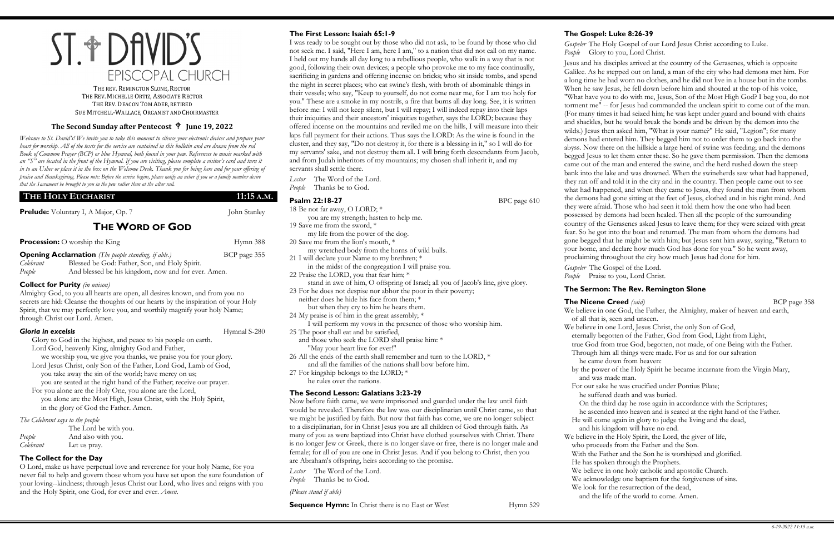# ST. + DAVID'S EPISCOPAL CHURCH

THE REV. REMINGTON SLONE, RECTOR THE REV. MICHELLE ORTIZ, ASSOCIATE RECTOR THE REV. DEACON TOM ADER, RETIRED SUE MITCHELL-WALLACE, ORGANIST AND CHOIRMASTER

### **The Second Sunday after Pentecost June 19, 2022**

*Welcome to St. David's! We invite you to take this moment to silence your electronic devices and prepare your heart for worship. All of the texts for the service are contained in this bulletin and are drawn from the red Book of Common Prayer (BCP) or blue Hymnal, both found in your pew. References to music marked with an "S" are located in the front of the Hymnal. If you are visiting, please complete a visitor's card and turn it in to an Usher or place it in the box on the Welcome Desk. Thank you for being here and for your offering of praise and thanksgiving. Please note: Before the service begins, please notify an usher if you or a family member desire that the Sacrament be brought to you in the pew rather than at the altar rail.*

### **THE HOLY EUCHARIST 11:15 A.M.**

**Prelude:** Voluntary I, A Major, Op. 7 John Stanley

# **THE WORD OF GOD**

**Procession:** O worship the King Hymn 388

**Opening Acclamation** *(The people standing, if able.)* BCP page 355 *Celebrant* Blessed be God: Father, Son, and Holy Spirit. *People* And blessed be his kingdom, now and for ever. Amen.

#### **Collect for Purity** *(in unison)*

Almighty God, to you all hearts are open, all desires known, and from you no secrets are hid: Cleanse the thoughts of our hearts by the inspiration of your Holy Spirit, that we may perfectly love you, and worthily magnify your holy Name; through Christ our Lord. Amen.

#### **Gloria in excelsis Hymnal S-280**

Glory to God in the highest, and peace to his people on earth. Lord God, heavenly King, almighty God and Father,

we worship you, we give you thanks, we praise you for your glory. Lord Jesus Christ, only Son of the Father, Lord God, Lamb of God, you take away the sin of the world; have mercy on us;

you are seated at the right hand of the Father; receive our prayer. For you alone are the Holy One, you alone are the Lord, you alone are the Most High, Jesus Christ, with the Holy Spirit, in the glory of God the Father. Amen.

*The Celebrant says to the people*

|           | The Lord be with you. |
|-----------|-----------------------|
| People    | And also with you.    |
| Celebrant | Let us pray.          |

### **The Collect for the Day**

O Lord, make us have perpetual love and reverence for your holy Name, for you never fail to help and govern those whom you have set upon the sure foundation of your loving--kindness; through Jesus Christ our Lord, who lives and reigns with you and the Holy Spirit, one God, for ever and ever. *Amen*.

### **The First Lesson: Isaiah 65:1-9**

I was ready to be sought out by those who did not ask, to be found by those who did not seek me. I said, "Here I am, here I am," to a nation that did not call on my name. I held out my hands all day long to a rebellious people, who walk in a way that is not good, following their own devices; a people who provoke me to my face continually, sacrificing in gardens and offering incense on bricks; who sit inside tombs, and spend the night in secret places; who eat swine's flesh, with broth of abominable things in their vessels; who say, "Keep to yourself, do not come near me, for I am too holy for you." These are a smoke in my nostrils, a fire that burns all day long. See, it is written before me: I will not keep silent, but I will repay; I will indeed repay into their laps their iniquities and their ancestors' iniquities together, says the LORD; because they offered incense on the mountains and reviled me on the hills, I will measure into their laps full payment for their actions. Thus says the LORD: As the wine is found in the cluster, and they say, "Do not destroy it, for there is a blessing in it," so I will do for my servants' sake, and not destroy them all. I will bring forth descendants from Jacob, and from Judah inheritors of my mountains; my chosen shall inherit it, and my servants shall settle there.

*Lector* The Word of the Lord. *People* Thanks be to God.

## **Psalm 22:18-27** BPC page 610

18 Be not far away, O LORD; \* you are my strength; hasten to help me. 19 Save me from the sword, \* my life from the power of the dog. 20 Save me from the lion's mouth, \* my wretched body from the horns of wild bulls. 21 I will declare your Name to my brethren; \* in the midst of the congregation I will praise you. 22 Praise the LORD, you that fear him; \* stand in awe of him, O offspring of Israel; all you of Jacob's line, give glory. 23 For he does not despise nor abhor the poor in their poverty; neither does he hide his face from them; \* but when they cry to him he hears them. 24 My praise is of him in the great assembly; \* I will perform my vows in the presence of those who worship him. 25 The poor shall eat and be satisfied, and those who seek the LORD shall praise him: \* "May your heart live for ever!" 26 All the ends of the earth shall remember and turn to the LORD, \* and all the families of the nations shall bow before him. 27 For kingship belongs to the LORD; \* he rules over the nations. **The Second Lesson: Galatians 3:23-29** Now before faith came, we were imprisoned and guarded under the law until faith would be revealed. Therefore the law was our disciplinarian until Christ came, so that

we might be justified by faith. But now that faith has come, we are no longer subject to a disciplinarian, for in Christ Jesus you are all children of God through faith. As many of you as were baptized into Christ have clothed yourselves with Christ. There is no longer Jew or Greek, there is no longer slave or free, there is no longer male and female; for all of you are one in Christ Jesus. And if you belong to Christ, then you are Abraham's offspring, heirs according to the promise.

*Lector* The Word of the Lord. *People* Thanks be to God.

*(Please stand if able)* 

**Sequence Hymn:** In Christ there is no East or West Hymn 529

# **The Gospel: Luke 8:26-39**

*Gospeler* The Holy Gospel of our Lord Jesus Christ according to Luke. *People* Glory to you, Lord Christ. Jesus and his disciples arrived at the country of the Gerasenes, which is opposite Galilee. As he stepped out on land, a man of the city who had demons met him. For a long time he had worn no clothes, and he did not live in a house but in the tombs. When he saw Jesus, he fell down before him and shouted at the top of his voice, "What have you to do with me, Jesus, Son of the Most High God? I beg you, do not torment me" -- for Jesus had commanded the unclean spirit to come out of the man. (For many times it had seized him; he was kept under guard and bound with chains and shackles, but he would break the bonds and be driven by the demon into the wilds.) Jesus then asked him, "What is your name?" He said, "Legion"; for many demons had entered him. They begged him not to order them to go back into the abyss. Now there on the hillside a large herd of swine was feeding; and the demons begged Jesus to let them enter these. So he gave them permission. Then the demons came out of the man and entered the swine, and the herd rushed down the steep bank into the lake and was drowned. When the swineherds saw what had happened, they ran off and told it in the city and in the country. Then people came out to see what had happened, and when they came to Jesus, they found the man from whom the demons had gone sitting at the feet of Jesus, clothed and in his right mind. And they were afraid. Those who had seen it told them how the one who had been possessed by demons had been healed. Then all the people of the surrounding country of the Gerasenes asked Jesus to leave them; for they were seized with great fear. So he got into the boat and returned. The man from whom the demons had gone begged that he might be with him; but Jesus sent him away, saying, "Return to your home, and declare how much God has done for you." So he went away, proclaiming throughout the city how much Jesus had done for him. *Gospeler* The Gospel of the Lord.

# **The Sermon: The Rev. Remington Slone**

### **The Nicene Creed** *(said)* BCP page 358

 of all that is, seen and unseen. and was made man.

People Praise to you, Lord Christ.

- We believe in one God, the Father, the Almighty, maker of heaven and earth,
- We believe in one Lord, Jesus Christ, the only Son of God,
- eternally begotten of the Father, God from God, Light from Light,
- true God from true God, begotten, not made, of one Being with the Father.
- Through him all things were made. For us and for our salvation he came down from heaven:
- by the power of the Holy Spirit he became incarnate from the Virgin Mary,
- For our sake he was crucified under Pontius Pilate;
- he suffered death and was buried.
- On the third day he rose again in accordance with the Scriptures;
- he ascended into heaven and is seated at the right hand of the Father.
- He will come again in glory to judge the living and the dead,
- and his kingdom will have no end.
- We believe in the Holy Spirit, the Lord, the giver of life,
- who proceeds from the Father and the Son.
- With the Father and the Son he is worshiped and glorified.
- He has spoken through the Prophets.
- We believe in one holy catholic and apostolic Church.
- We acknowledge one baptism for the forgiveness of sins.
- We look for the resurrection of the dead,
- and the life of the world to come. Amen.